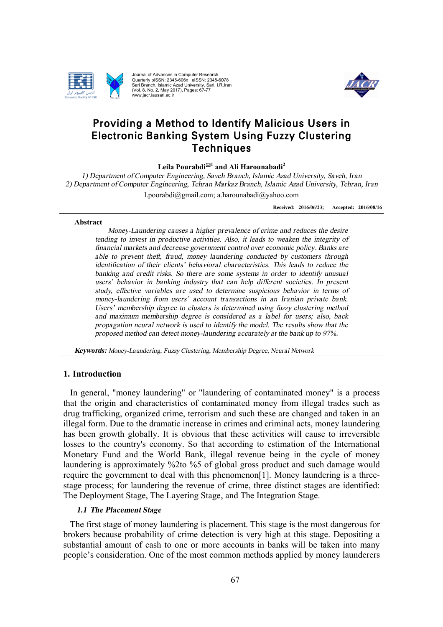

Quarterly pISSN: 2345-606x eISSN: 2345-6078 Quarterly pISSN: 2345-606x eISSN: 2345-6078<br>Sari Branch, Islamic Azad University, Sari, I.R.Iran<br>(Vol. 8, No. 2, May 2017), Pages: 67-77 www.jacr.iausari.ac.ir



# Providing a Method to Identify Malicious Users Method Providing a Method to Identify Malicious Users in<br>Electronic Banking System Using Fuzzy Clustering Techniques

 $\mathbf{L}$ eila Pourabdi $^{\boxtimes 1}$  and Ali Harounabadi<sup>2</sup>

*1*) Department of Computer Engineering, Saveh Branch, Islamic Azad University *2) Department of Computer Engineering Department of Computer Engineering, Saveh Branch, Islamic Azad University, Saveh,*<br> *causes rtment of Computer Engineering, Tehran Markaz Branch, Islamic Azad University, Teh*<br> *Received: 2016/06/23;* Accepte<br> **and** *Mo Engineering, Tehran Markaz Branch MarkazBranchBranch, Islamic Azad University University, Tehran, Iran*

l.poorabdi@gmail.com l.poorabdi@gmail.com; a.harounabadi@yahoo.com ; a.harounabadi@yahoo.com ;

**Received: 201 2016/06/23; Accepted: 201 2016/08/16**

#### **Abstract**

*Money-Laundering causes a higher prevalence of tending to invest in productive activities. Also, it leads to weaken the integrity of productive financial markets and decrease government control over economic policy. Banks are financial markets and decrease government control over economic policy. Batable to prevent theft, fraud, money laundering conducted by customers to identification* of their clients' behavioral characteristics. This leads to reduce the *banking* and *credit risks.* So there are some systems in order to *identify unusual* users' behavior in banking industry that can help different societies. In present *study, effective variables are used to determine suspicious behavior in terms of money-laundering from users' account transactions in study, effective variables are used to determine suspicious behavior in terms of money-laundering from users' account transactions in an Iranian private bank. Users' membership degree to clusters is determined using fuzzy and maximum membership degree is considered as <sup>a</sup> label for users; also, back for users;back propagation neural network is used to identify the model. The results show that the proposed method can detect money thatdetect money-laundering accurate the bank up to 97% banking and credit risks. So there are some systems in order to identify unusual* users' behavior in banking industry that can help different societies. In present study, effective variables are used to determine suspicio *Laundering*<br> *Launderingent in problemand dependent theft*<br> *cation of their cation of their cation of their cation*<br> *g* and credit risident in the effective variable and laundering from Quarterly pISSN: 2345-606x eISSN<br>
Sari Branch, Islamic Azad University,<br> *Lool.* 8, No. 2, May 2017), Pages: 67<br>
www.jacr.iausari.ac.ir<br> **Launder** in the **Launder of the Conduct Conduct Conduct**<br> **Computer Engineering, Teh** ents' behavioral characteristics. This leads to reduce the<br>*i*. So there are some systems in order to identify unusual<br>ing industry that can help different societies. In present<br>s are used to determine suspicious behavior *tending to invest in productive activities. Also, it leads to weaken the financial markets and decrease government control over economic polic able to prevent theft, fraud, money laundering conducted by custom identificat m* membership degree is considered as a label for users; also, neural network is used to identify the model. The results show th<br>thod can detect money-laundering accurately at the bank up to 97 *s* is determined using<br>*is considered as a labe*<br>*l* to identify the model. The<br>*laundering accurately at through a anks are*<br>*a is and is a is and in present*<br>*in present*<br>*in terms of*<br>*in terms of*<br>*is also, back*<br>*j also, back*<br>*how that the*<br>*<i>n to 97%.* 

*Keywords: Money Money-Laundering, Fuzzy Clustering, Membership Degree, Neural Network Laundering, Clustering,* 

#### **1. Introduction**

In general, "money laundering" or "laundering of contaminated money" is a process that the origin and characteristics of contaminated money from illegal trades such as drug trafficking, organized crime, terrorism and such these are changed and taken in an illegal form. Due to the dramatic increase in crimes and criminal acts, money laundering illegal form. Due to the dramatic increase in crimes and criminal acts, money laundering has been growth globally. It is obvious that these activities will cause to irreversible losses to the country's economy. So that according to estimation of the International Monetary Fund and the World Bank, illegal revenue being in the cycle of money laundering is approximately require the government to deal with this phenomenon[1]. Money laundering is a threestage process; for laundering the revenue of crime, three distinct stages are identified: The Deployment Stage, The Layering Stage, and The Integration Stage. to the country's economy. So that according to estimation of the Ir<br>ary Fund and the World Bank, illegal revenue being in the cycle<br>ring is approximately %2to %5 of global gross product and such dan<br>et the government to de promotion and computer Research<br>
Sournal of Advances in Computer Search<br>
Nova 8, No. 2, Nova 2017). From the National ONE of Advances in New York Research<br>
Nova 8, No. 2, Nova 2017). From Experiment Search<br>
In Techniques<br> **Purplementation**<br> **Purplementation**<br> **Placement**<br> **Placementation**<br> **Place Starbands**<br> **Place Starbands**<br> **Place tronic Ban**<br> **Different** of Computer Engin<br> **Place Starbands**<br> **Place Starbands**<br> **Place method can define t** globally. It is obvious that these activities will cause to irreversible intry's economy. So that according to estimation of the International and the World Bank, illegal revenue being in the cycle of money rroximately %2t **Techniques**<br> **ila Pourabdi<sup>ga1</sup> and Ali Harounab**<br> *Engineering, Saveh Branch, Islamic<br>
enering, Tehran Markaz Branch, Islamic<br>
enering, Tehran Markaz Branch, Islamic<br>
causes a higher prevalence of crim<br>
ductive activiti Islamic Azad University, Saveh, Iran*<br>nch, *Islamic Azad University, Saveh, Iran*<br>nch, *Islamic Azad University, Tehran*,<br>adi@yahoo.com<br>Received: 2016/06/23; Accepted: 20<br>of crime and reduces the desire<br>leads to weaken th **Fuzzy Clustering**<br>
Fuzzy Clustering<br>
Fuzzy Clustering<br>
ic Azad University, Saveh, Iran<br>
Ilamic Azad University, Tehran, In<br>
ahoo.com<br>
Received: 2016/06/33; Accepted: 2016<br>
me and reduces the desire<br>
to weaken the integrit

## *1.1*

The first stage of money laundering is placement. This stage is the most dangerous for brokers because probability of crime detection is very high at this stage. Depositing a substantial amount of cash to one or more accounts in banks will be taken into many people's consideration. One of the most common methods applied by money laundere launderers process; for laundering the revenue of crime, three distinct stages are<br>The Deployment Stage, The Layering Stage, and The Integration Stage.<br>1.1 The Placement Stage<br>The first stage of money laundering is placement. This st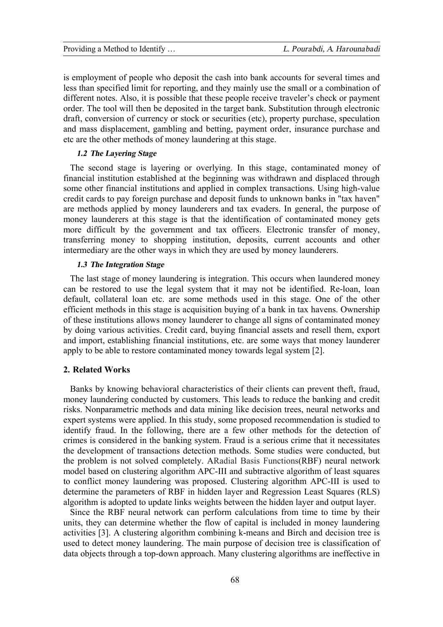is employment of people who deposit the cash into bank accounts for several times and less than specified limit for reporting, and they mainly use the small or a combination of different notes. Also, it is possible that these people receive traveler's check or payment order. The tool will then be deposited in the target bank. Substitution through electronic draft, conversion of currency or stock or securities (etc), property purchase, speculation and mass displacement, gambling and betting, payment order, insurance purchase and etc are the other methods of money laundering at this stage.

## *1.2 The Layering Stage*

The second stage is layering or overlying. In this stage, contaminated money of financial institution established at the beginning was withdrawn and displaced through some other financial institutions and applied in complex transactions. Using high-value credit cards to pay foreign purchase and deposit funds to unknown banks in "tax haven" are methods applied by money launderers and tax evaders. In general, the purpose of money launderers at this stage is that the identification of contaminated money gets more difficult by the government and tax officers. Electronic transfer of money, transferring money to shopping institution, deposits, current accounts and other intermediary are the other ways in which they are used by money launderers.

## *1.3 The Integration Stage*

The last stage of money laundering is integration. This occurs when laundered money can be restored to use the legal system that it may not be identified. Re-loan, loan default, collateral loan etc. are some methods used in this stage. One of the other efficient methods in this stage is acquisition buying of a bank in tax havens. Ownership of these institutions allows money launderer to change all signs of contaminated money by doing various activities. Credit card, buying financial assets and resell them, export and import, establishing financial institutions, etc. are some ways that money launderer apply to be able to restore contaminated money towards legal system [2].

#### **2. Related Works**

Banks by knowing behavioral characteristics of their clients can prevent theft, fraud, money laundering conducted by customers. This leads to reduce the banking and credit risks. Nonparametric methods and data mining like decision trees, neural networks and expert systems were applied. In this study, some proposed recommendation is studied to identify fraud. In the following, there are a few other methods for the detection of crimes is considered in the banking system. Fraud is a serious crime that it necessitates the development of transactions detection methods. Some studies were conducted, but the problem is not solved completely. ARadial Basis Functions(RBF) neural network model based on clustering algorithm APC-III and subtractive algorithm of least squares to conflict money laundering was proposed. Clustering algorithm APC-III is used to determine the parameters of RBF in hidden layer and Regression Least Squares (RLS) algorithm is adopted to update links weights between the hidden layer and output layer.

Since the RBF neural network can perform calculations from time to time by their units, they can determine whether the flow of capital is included in money laundering activities [3]. A clustering algorithm combining k-means and Birch and decision tree is used to detect money laundering. The main purpose of decision tree is classification of data objects through a top-down approach. Many clustering algorithms are ineffective in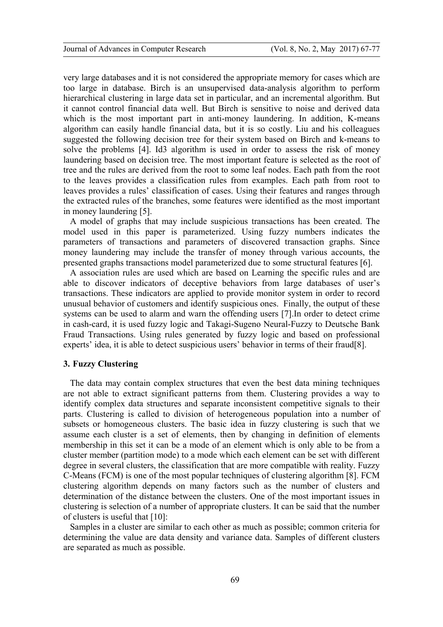very large databases and it is not considered the appropriate memory for cases which are too large in database. Birch is an unsupervised data-analysis algorithm to perform hierarchical clustering in large data set in particular, and an incremental algorithm. But it cannot control financial data well. But Birch is sensitive to noise and derived data which is the most important part in anti-money laundering. In addition, K-means algorithm can easily handle financial data, but it is so costly. Liu and his colleagues suggested the following decision tree for their system based on Birch and k-means to solve the problems [4]. Id3 algorithm is used in order to assess the risk of money laundering based on decision tree. The most important feature is selected as the root of tree and the rules are derived from the root to some leaf nodes. Each path from the root to the leaves provides a classification rules from examples. Each path from root to leaves provides a rules' classification of cases. Using their features and ranges through the extracted rules of the branches, some features were identified as the most important in money laundering [5].

A model of graphs that may include suspicious transactions has been created. The model used in this paper is parameterized. Using fuzzy numbers indicates the parameters of transactions and parameters of discovered transaction graphs. Since money laundering may include the transfer of money through various accounts, the presented graphs transactions model parameterized due to some structural features [6].

A association rules are used which are based on Learning the specific rules and are able to discover indicators of deceptive behaviors from large databases of user's transactions. These indicators are applied to provide monitor system in order to record unusual behavior of customers and identify suspicious ones. Finally, the output of these systems can be used to alarm and warn the offending users [7].In order to detect crime in cash-card, it is used fuzzy logic and Takagi-Sugeno Neural-Fuzzy to Deutsche Bank Fraud Transactions. Using rules generated by fuzzy logic and based on professional experts' idea, it is able to detect suspicious users' behavior in terms of their fraud[8].

#### **3. Fuzzy Clustering**

The data may contain complex structures that even the best data mining techniques are not able to extract significant patterns from them. Clustering provides a way to identify complex data structures and separate inconsistent competitive signals to their parts. Clustering is called to division of heterogeneous population into a number of subsets or homogeneous clusters. The basic idea in fuzzy clustering is such that we assume each cluster is a set of elements, then by changing in definition of elements membership in this set it can be a mode of an element which is only able to be from a cluster member (partition mode) to a mode which each element can be set with different degree in several clusters, the classification that are more compatible with reality. Fuzzy C-Means (FCM) is one of the most popular techniques of clustering algorithm [8]. FCM clustering algorithm depends on many factors such as the number of clusters and determination of the distance between the clusters. One of the most important issues in clustering is selection of a number of appropriate clusters. It can be said that the number of clusters is useful that [10]:

Samples in a cluster are similar to each other as much as possible; common criteria for determining the value are data density and variance data. Samples of different clusters are separated as much as possible.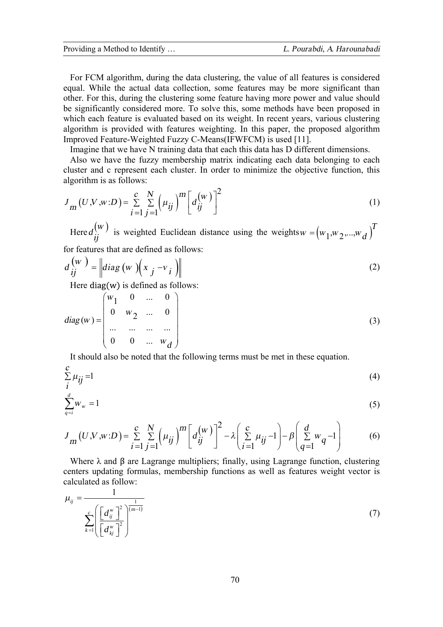For FCM algorithm, during the data clustering, the value of all features is considered equal. While the actual data collection, some features may be more significant than other. For this, during the clustering some feature having more power and value should be significantly considered more. To solve this, some methods have been proposed in which each feature is evaluated based on its weight. In recent years, various clustering algorithm is provided with features weighting. In this paper, the proposed algorithm Improved Feature-Weighted Fuzzy C-Means(IFWFCM) is used [11].

Imagine that we have N training data that each this data has D different dimensions.

Also we have the fuzzy membership matrix indicating each data belonging to each cluster and c represent each cluster. In order to minimize the objective function, this algorithm is as follows:

$$
J_{m}(U,V,w:D) = \sum_{i=1}^{c} \sum_{j=1}^{N} \left(\mu_{ij}\right)^{m} \left[d_{ij}^{(w)}\right]^{2}
$$
 (1)

Here  $d_{ij}^{(w)}$  is weighted Euclidean distance using the weights  $w = (w_1, w_2, ..., w_d)$ <sup>T</sup> for features that are defined as follows:

$$
d_{ij}^{(w)} = \left\| diag(w) \left( x_j - v_i \right) \right\|
$$
 (2)

Here diag(w) is defined as follows:

$$
diag(w) = \begin{pmatrix} w_1 & 0 & \dots & 0 \\ 0 & w_2 & \dots & 0 \\ \dots & \dots & \dots & \dots \\ 0 & 0 & \dots & w_d \end{pmatrix}
$$
 (3)

It should also be noted that the following terms must be met in these equation.

$$
\sum_{i}^{c} \mu_{ij} = 1 \tag{4}
$$

$$
\sum_{q=i}^{d} w_w = 1 \tag{5}
$$

$$
J_{m}(U,V,w:D) = \sum_{i=1}^{c} \sum_{j=1}^{N} (\mu_{ij})^{m} \left[ d_{ij}^{(w)} \right]^{2} - \lambda \left( \sum_{i=1}^{c} \mu_{ij} - 1 \right) - \beta \left( \sum_{q=1}^{d} w_{q} - 1 \right)
$$
(6)

Where  $\lambda$  and  $\beta$  are Lagrange multipliers; finally, using Lagrange function, clustering centers updating formulas, membership functions as well as features weight vector is calculated as follow:

$$
\mu_{ij} = \frac{1}{\sum_{k=1}^{c} \left( \frac{d_{ij}^{w}}{d_{kj}^{w}} \right)^2} \tag{7}
$$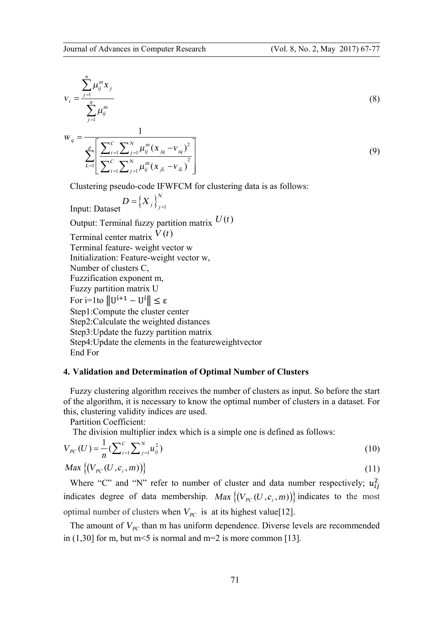$$
v_{i} = \frac{\sum_{j=1}^{n} \mu_{ij}^{m} x_{j}}{\sum_{j=1}^{n} \mu_{ij}^{m}}
$$
\n
$$
1
$$
\n(8)

$$
W_q = \frac{1}{\sum_{L=1}^d \left[ \frac{\sum_{i=1}^C \sum_{j=1}^N \mu_{ij}^m (x_{jq} - v_{iq})^2}{\sum_{i=1}^C \sum_{j=1}^N \mu_{ij}^m (x_{jL} - v_{iL})^2} \right]}
$$
(9)

Clustering pseudo-code IFWFCM for clustering data is as follows:

$$
D = \left\{ X_j \right\}_{j=1}^N
$$
  
Input: Datasets

Output: Terminal fuzzy partition matrix  $U(t)$ 

Terminal center matrix  $V(t)$ Terminal feature- weight vector w Initialization: Feature-weight vector w, Number of clusters C, Fuzzification exponent m, Fuzzy partition matrix U For  $i=1$ to  $||U^{i+1} - U^i|| \leq \varepsilon$ Step1:Compute the cluster center Step2:Calculate the weighted distances Step3:Update the fuzzy partition matrix Step4:Update the elements in the featureweightvector End For

## **4. Validation and Determination of Optimal Number of Clusters**

Fuzzy clustering algorithm receives the number of clusters as input. So before the start of the algorithm, it is necessary to know the optimal number of clusters in a dataset. For this, clustering validity indices are used.

Partition Coefficient:

The division multiplier index which is a simple one is defined as follows:

$$
V_{PC}(U) = \frac{1}{n} \left( \sum_{i=1}^{C} \sum_{j=1}^{N} u_{ij}^{2} \right)
$$
 (10)

$$
Max \left\{ (V_{pc}(U, c_i, m)) \right\} \tag{11}
$$

Where "C" and "N" refer to number of cluster and data number respectively;  $u_{ij}^2$ indicates degree of data membership. *Max*  $\{ (V_{pc}(U, c_i, m)) \}$  indicates to the most optimal number of clusters when  $V_{pc}$  is at its highest value[12].

The amount of  $V_{pc}$  than m has uniform dependence. Diverse levels are recommended in  $(1,30]$  for m, but m  $\leq$  5 is normal and m  $=$  2 is more common [13].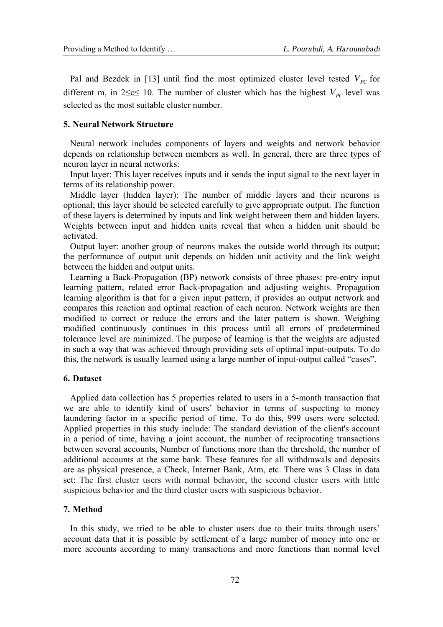Pal and Bezdek in [13] until find the most optimized cluster level tested  $V_{pc}$  for different m, in 2≤c≤ 10. The number of cluster which has the highest  $V_{PC}$  level was selected as the most suitable cluster number.

## **5. Neural Network Structure**

Neural network includes components of layers and weights and network behavior depends on relationship between members as well. In general, there are three types of neuron layer in neural networks:

Input layer: This layer receives inputs and it sends the input signal to the next layer in terms of its relationship power.

Middle layer (hidden layer): The number of middle layers and their neurons is optional; this layer should be selected carefully to give appropriate output. The function of these layers is determined by inputs and link weight between them and hidden layers. Weights between input and hidden units reveal that when a hidden unit should be activated.

Output layer: another group of neurons makes the outside world through its output; the performance of output unit depends on hidden unit activity and the link weight between the hidden and output units.

Learning a Back-Propagation (BP) network consists of three phases: pre-entry input learning pattern, related error Back-propagation and adjusting weights. Propagation learning algorithm is that for a given input pattern, it provides an output network and compares this reaction and optimal reaction of each neuron. Network weights are then modified to correct or reduce the errors and the later pattern is shown. Weighing modified continuously continues in this process until all errors of predetermined tolerance level are minimized. The purpose of learning is that the weights are adjusted in such a way that was achieved through providing sets of optimal input-outputs. To do this, the network is usually learned using a large number of input-output called "cases".

## **6. Dataset**

Applied data collection has 5 properties related to users in a 5-month transaction that we are able to identify kind of users' behavior in terms of suspecting to money laundering factor in a specific period of time. To do this, 999 users were selected. Applied properties in this study include: The standard deviation of the client's account in a period of time, having a joint account, the number of reciprocating transactions between several accounts, Number of functions more than the threshold, the number of additional accounts at the same bank. These features for all withdrawals and deposits are as physical presence, a Check, Internet Bank, Atm, etc. There was 3 Class in data set: The first cluster users with normal behavior, the second cluster users with little suspicious behavior and the third cluster users with suspicious behavior.

## **7. Method**

In this study, we tried to be able to cluster users due to their traits through users' account data that it is possible by settlement of a large number of money into one or more accounts according to many transactions and more functions than normal level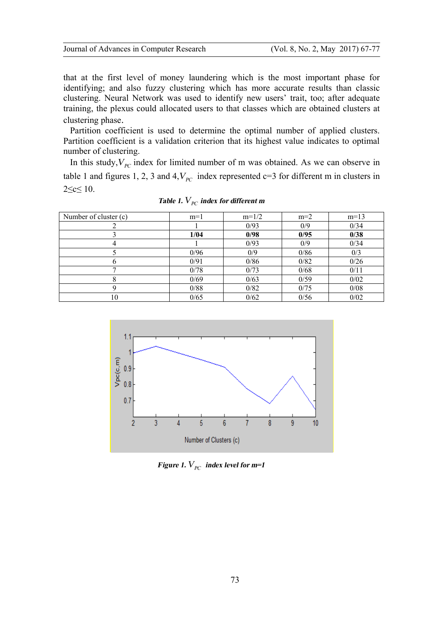that at the first level of money laundering which is the most important phase for identifying; and also fuzzy clustering which has more accurate results than classic clustering. Neural Network was used to identify new users' trait, too; after adequate training, the plexus could allocated users to that classes which are obtained clusters at clustering phase.

Partition coefficient is used to determine the optimal number of applied clusters. Partition coefficient is a validation criterion that its highest value indicates to optimal number of clustering.

In this study,  $V_{PC}$  index for limited number of m was obtained. As we can observe in table 1 and figures 1, 2, 3 and 4, $V_{pc}$  index represented c=3 for different m in clusters in 2≤c≤ 10.

| Number of cluster (c) | $m=1$ | $m=1/2$ | $m=2$ | $m=13$ |
|-----------------------|-------|---------|-------|--------|
|                       |       | 0/93    | 0/9   | 0/34   |
|                       | 1/04  | 0/98    | 0/95  | 0/38   |
|                       |       | 0/93    | 0/9   | 0/34   |
|                       | 0/96  | 0/9     | 0/86  | 0/3    |
|                       | 0/91  | 0/86    | 0/82  | 0/26   |
|                       | 0/78  | 0/73    | 0/68  | 0/11   |
| 8                     | 0/69  | 0/63    | 0/59  | 0/02   |
| O                     | 0/88  | 0/82    | 0/75  | 0/08   |
| 10                    | 0/65  | 0/62    | 0/56  | 0/02   |

*Table 1.*  $V_{PC}$  *index for different m* 



*Figure 1.*  $V_{PC}$  *index level for m=1*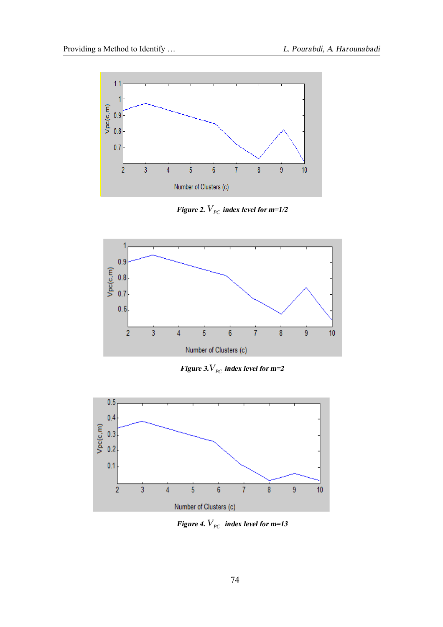

*Figure 2.*  $V_{pC}$  *index level for m=1/2* 



*Figure 3.* $V_{PC}$  *index level for m=2* 



*Figure 4.*  $V_{pC}$  *index level for m=13*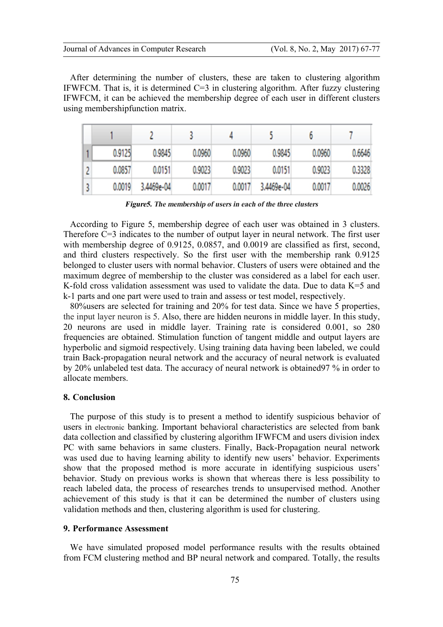After determining the number of clusters, these are taken to clustering algorithm IFWFCM. That is, it is determined  $C=3$  in clustering algorithm. After fuzzy clustering IFWFCM, it can be achieved the membership degree of each user in different clusters using membershipfunction matrix.

| 0.9125 | 0.9845     | 0.0960 | 0.0960 | 0.9845     | 0.0960 | 0.6646 |
|--------|------------|--------|--------|------------|--------|--------|
| 0.0857 | 0.0151     | 0.9023 | 0.9023 | 0.0151     | 0.9023 | 0.3328 |
| 0.0019 | 3.4469e-04 | 0.0017 | 0.0017 | 3.4469e-04 | 0.0017 | 0.0026 |

*Figure5. The membership of users in each of the three clusters*

According to Figure 5, membership degree of each user was obtained in 3 clusters. Therefore  $C=3$  indicates to the number of output layer in neural network. The first user with membership degree of 0.9125, 0.0857, and 0.0019 are classified as first, second, and third clusters respectively. So the first user with the membership rank 0.9125 belonged to cluster users with normal behavior. Clusters of users were obtained and the maximum degree of membership to the cluster was considered as a label for each user. K-fold cross validation assessment was used to validate the data. Due to data K=5 and k-1 parts and one part were used to train and assess or test model, respectively.

80%users are selected for training and 20% for test data. Since we have 5 properties, the input layer neuron is 5. Also, there are hidden neurons in middle layer. In this study, 20 neurons are used in middle layer. Training rate is considered 0.001, so 280 frequencies are obtained. Stimulation function of tangent middle and output layers are hyperbolic and sigmoid respectively. Using training data having been labeled, we could train Back-propagation neural network and the accuracy of neural network is evaluated by 20% unlabeled test data. The accuracy of neural network is obtained97 % in order to allocate members.

#### **8. Conclusion**

The purpose of this study is to present a method to identify suspicious behavior of users in electronic banking. Important behavioral characteristics are selected from bank data collection and classified by clustering algorithm IFWFCM and users division index PC with same behaviors in same clusters. Finally, Back-Propagation neural network was used due to having learning ability to identify new users' behavior. Experiments show that the proposed method is more accurate in identifying suspicious users' behavior. Study on previous works is shown that whereas there is less possibility to reach labeled data, the process of researches trends to unsupervised method. Another achievement of this study is that it can be determined the number of clusters using validation methods and then, clustering algorithm is used for clustering.

#### **9. Performance Assessment**

We have simulated proposed model performance results with the results obtained from FCM clustering method and BP neural network and compared. Totally, the results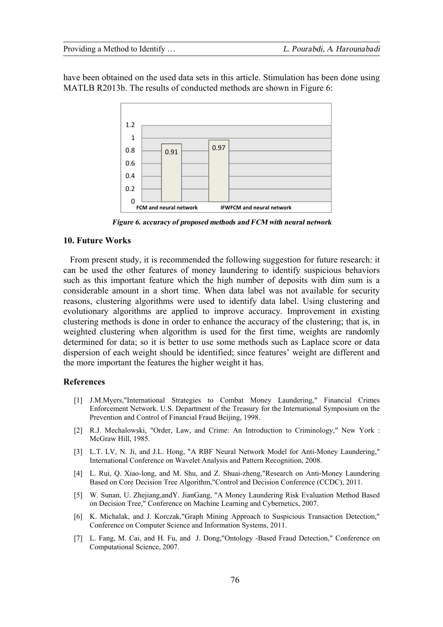have been obtained on the used data sets in this article. Stimulation has been done using MATLB R2013b. The results of conducted methods are shown in Figure 6:



*Figure 6. accuracy of proposed methods and FCM with neural network* 

## **10. Future Works**

From present study, it is recommended the following suggestion for future research: it can be used the other features of money laundering to identify suspicious behaviors such as this important feature which the high number of deposits with dim sum is a considerable amount in a short time. When data label was not available for security reasons, clustering algorithms were used to identify data label. Using clustering and evolutionary algorithms are applied to improve accuracy. Improvement in existing clustering methods is done in order to enhance the accuracy of the clustering; that is, in weighted clustering when algorithm is used for the first time, weights are randomly determined for data; so it is better to use some methods such as Laplace score or data dispersion of each weight should be identified; since features' weight are different and the more important the features the higher weight it has.

## **References**

- [1] J.M.Myers,"International Strategies to Combat Money Laundering," Financial Crimes Enforcement Network. U.S. Department of the Treasury for the International Symposium on the Prevention and Control of Financial Fraud Beijing, 1998.
- [2] R.J. Mechalowski, "Order, Law, and Crime: An Introduction to Criminology," New York : McGraw Hill, 1985.
- [3] L.T. LV, N. Ji, and J.L. Hong, "A RBF Neural Network Model for Anti-Money Laundering," International Conference on Wavelet Analysis and Pattern Recognition, 2008.
- [4] L. Rui, Q. Xiao-long, and M. Shu, and Z. Shuai-zheng,"Research on Anti-Money Laundering Based on Core Decision Tree Algorithm,"Control and Decision Conference (CCDC), 2011.
- [5] W. Sunan, U. Zhejiang,andY. JianGang, "A Money Laundering Risk Evaluation Method Based on Decision Tree," Conference on Machine Learning and Cybernetics, 2007.
- [6] K. Michalak, and J. Korczak,"Graph Mining Approach to Suspicious Transaction Detection," Conference on Computer Science and Information Systems, 2011.
- [7] L. Fang, M. Cai, and H. Fu, and J. Dong,"Ontology -Based Fraud Detection," Conference on Computational Science, 2007.